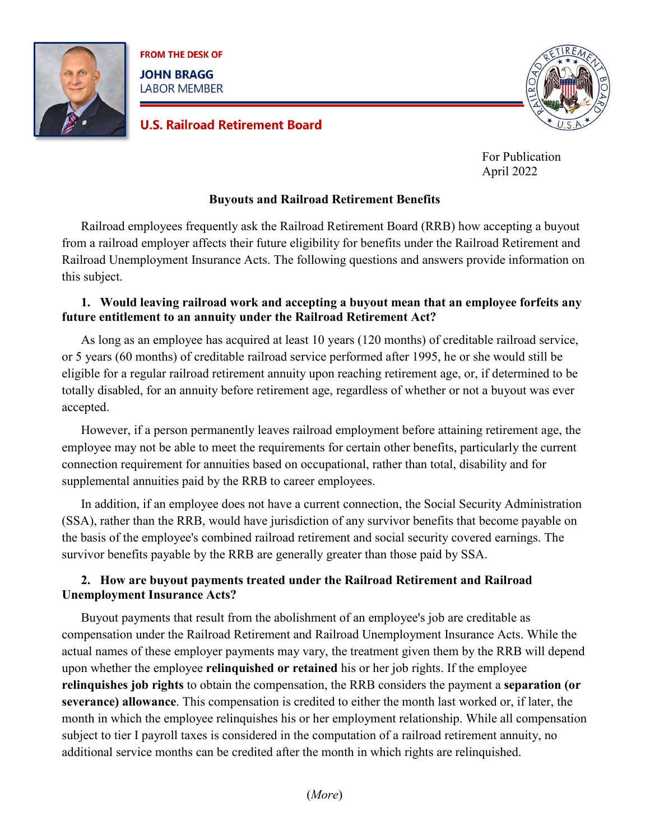

**FROM THE DESK OF JOHN BRAGG LABOR MEMBER** 

# **U.S. Railroad Retirement Board**



For Publication April 2022

## **Buyouts and Railroad Retirement Benefits**

Railroad employees frequently ask the Railroad Retirement Board (RRB) how accepting a buyout from a railroad employer affects their future eligibility for benefits under the Railroad Retirement and Railroad Unemployment Insurance Acts. The following questions and answers provide information on this subject.

## **1. Would leaving railroad work and accepting a buyout mean that an employee forfeits any future entitlement to an annuity under the Railroad Retirement Act?**

As long as an employee has acquired at least 10 years (120 months) of creditable railroad service, or 5 years (60 months) of creditable railroad service performed after 1995, he or she would still be eligible for a regular railroad retirement annuity upon reaching retirement age, or, if determined to be totally disabled, for an annuity before retirement age, regardless of whether or not a buyout was ever accepted.

However, if a person permanently leaves railroad employment before attaining retirement age, the employee may not be able to meet the requirements for certain other benefits, particularly the current connection requirement for annuities based on occupational, rather than total, disability and for supplemental annuities paid by the RRB to career employees.

In addition, if an employee does not have a current connection, the Social Security Administration (SSA), rather than the RRB, would have jurisdiction of any survivor benefits that become payable on the basis of the employee's combined railroad retirement and social security covered earnings. The survivor benefits payable by the RRB are generally greater than those paid by SSA.

## **2. How are buyout payments treated under the Railroad Retirement and Railroad Unemployment Insurance Acts?**

Buyout payments that result from the abolishment of an employee's job are creditable as compensation under the Railroad Retirement and Railroad Unemployment Insurance Acts. While the actual names of these employer payments may vary, the treatment given them by the RRB will depend upon whether the employee **relinquished or retained** his or her job rights. If the employee **relinquishes job rights** to obtain the compensation, the RRB considers the payment a **separation (or severance) allowance**. This compensation is credited to either the month last worked or, if later, the month in which the employee relinquishes his or her employment relationship. While all compensation subject to tier I payroll taxes is considered in the computation of a railroad retirement annuity, no additional service months can be credited after the month in which rights are relinquished.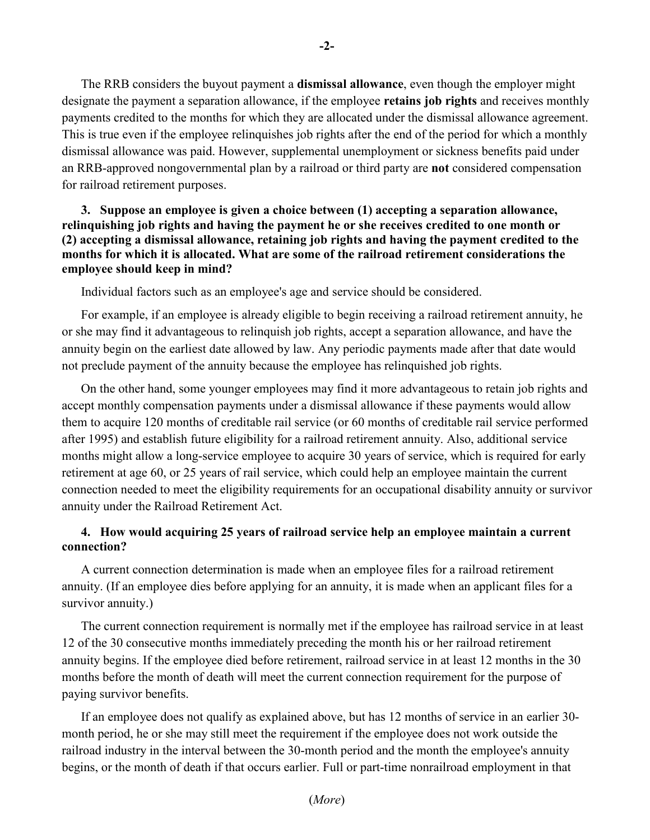The RRB considers the buyout payment a **dismissal allowance**, even though the employer might designate the payment a separation allowance, if the employee **retains job rights** and receives monthly payments credited to the months for which they are allocated under the dismissal allowance agreement. This is true even if the employee relinquishes job rights after the end of the period for which a monthly dismissal allowance was paid. However, supplemental unemployment or sickness benefits paid under an RRB-approved nongovernmental plan by a railroad or third party are **not** considered compensation for railroad retirement purposes.

#### **3. Suppose an employee is given a choice between (1) accepting a separation allowance, relinquishing job rights and having the payment he or she receives credited to one month or (2) accepting a dismissal allowance, retaining job rights and having the payment credited to the months for which it is allocated. What are some of the railroad retirement considerations the employee should keep in mind?**

Individual factors such as an employee's age and service should be considered.

For example, if an employee is already eligible to begin receiving a railroad retirement annuity, he or she may find it advantageous to relinquish job rights, accept a separation allowance, and have the annuity begin on the earliest date allowed by law. Any periodic payments made after that date would not preclude payment of the annuity because the employee has relinquished job rights.

On the other hand, some younger employees may find it more advantageous to retain job rights and accept monthly compensation payments under a dismissal allowance if these payments would allow them to acquire 120 months of creditable rail service (or 60 months of creditable rail service performed after 1995) and establish future eligibility for a railroad retirement annuity. Also, additional service months might allow a long-service employee to acquire 30 years of service, which is required for early retirement at age 60, or 25 years of rail service, which could help an employee maintain the current connection needed to meet the eligibility requirements for an occupational disability annuity or survivor annuity under the Railroad Retirement Act.

#### **4. How would acquiring 25 years of railroad service help an employee maintain a current connection?**

A current connection determination is made when an employee files for a railroad retirement annuity. (If an employee dies before applying for an annuity, it is made when an applicant files for a survivor annuity.)

The current connection requirement is normally met if the employee has railroad service in at least 12 of the 30 consecutive months immediately preceding the month his or her railroad retirement annuity begins. If the employee died before retirement, railroad service in at least 12 months in the 30 months before the month of death will meet the current connection requirement for the purpose of paying survivor benefits.

If an employee does not qualify as explained above, but has 12 months of service in an earlier 30 month period, he or she may still meet the requirement if the employee does not work outside the railroad industry in the interval between the 30-month period and the month the employee's annuity begins, or the month of death if that occurs earlier. Full or part-time nonrailroad employment in that

(*More*)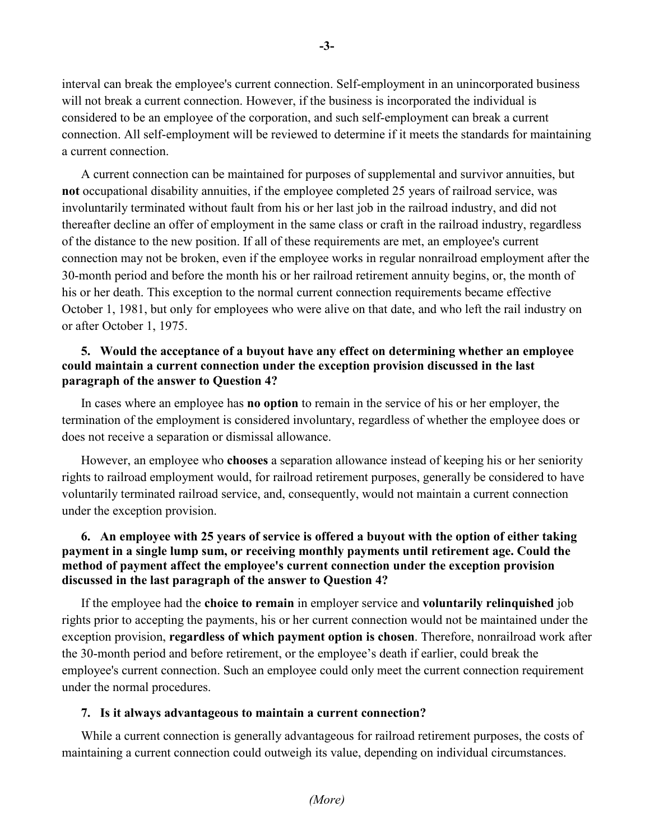interval can break the employee's current connection. Self-employment in an unincorporated business will not break a current connection. However, if the business is incorporated the individual is considered to be an employee of the corporation, and such self-employment can break a current connection. All self-employment will be reviewed to determine if it meets the standards for maintaining a current connection.

A current connection can be maintained for purposes of supplemental and survivor annuities, but **not** occupational disability annuities, if the employee completed 25 years of railroad service, was involuntarily terminated without fault from his or her last job in the railroad industry, and did not thereafter decline an offer of employment in the same class or craft in the railroad industry, regardless of the distance to the new position. If all of these requirements are met, an employee's current connection may not be broken, even if the employee works in regular nonrailroad employment after the 30-month period and before the month his or her railroad retirement annuity begins, or, the month of his or her death. This exception to the normal current connection requirements became effective October 1, 1981, but only for employees who were alive on that date, and who left the rail industry on or after October 1, 1975.

### **5. Would the acceptance of a buyout have any effect on determining whether an employee could maintain a current connection under the exception provision discussed in the last paragraph of the answer to Question 4?**

In cases where an employee has **no option** to remain in the service of his or her employer, the termination of the employment is considered involuntary, regardless of whether the employee does or does not receive a separation or dismissal allowance.

However, an employee who **chooses** a separation allowance instead of keeping his or her seniority rights to railroad employment would, for railroad retirement purposes, generally be considered to have voluntarily terminated railroad service, and, consequently, would not maintain a current connection under the exception provision.

### **6. An employee with 25 years of service is offered a buyout with the option of either taking payment in a single lump sum, or receiving monthly payments until retirement age. Could the method of payment affect the employee's current connection under the exception provision discussed in the last paragraph of the answer to Question 4?**

If the employee had the **choice to remain** in employer service and **voluntarily relinquished** job rights prior to accepting the payments, his or her current connection would not be maintained under the exception provision, **regardless of which payment option is chosen**. Therefore, nonrailroad work after the 30-month period and before retirement, or the employee's death if earlier, could break the employee's current connection. Such an employee could only meet the current connection requirement under the normal procedures.

### **7. Is it always advantageous to maintain a current connection?**

While a current connection is generally advantageous for railroad retirement purposes, the costs of maintaining a current connection could outweigh its value, depending on individual circumstances.

**-3-**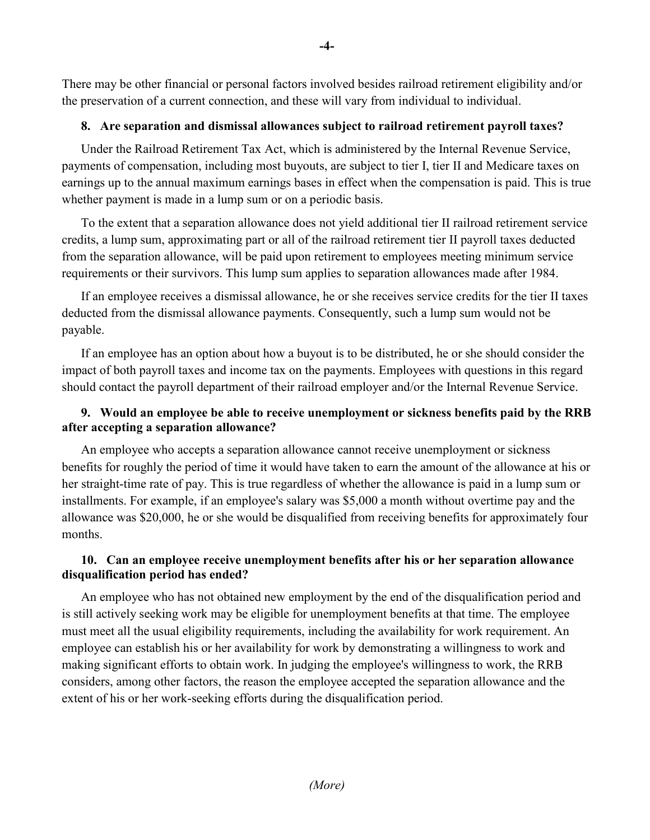There may be other financial or personal factors involved besides railroad retirement eligibility and/or the preservation of a current connection, and these will vary from individual to individual.

### **8. Are separation and dismissal allowances subject to railroad retirement payroll taxes?**

Under the Railroad Retirement Tax Act, which is administered by the Internal Revenue Service, payments of compensation, including most buyouts, are subject to tier I, tier II and Medicare taxes on earnings up to the annual maximum earnings bases in effect when the compensation is paid. This is true whether payment is made in a lump sum or on a periodic basis.

To the extent that a separation allowance does not yield additional tier II railroad retirement service credits, a lump sum, approximating part or all of the railroad retirement tier II payroll taxes deducted from the separation allowance, will be paid upon retirement to employees meeting minimum service requirements or their survivors. This lump sum applies to separation allowances made after 1984.

If an employee receives a dismissal allowance, he or she receives service credits for the tier II taxes deducted from the dismissal allowance payments. Consequently, such a lump sum would not be payable.

If an employee has an option about how a buyout is to be distributed, he or she should consider the impact of both payroll taxes and income tax on the payments. Employees with questions in this regard should contact the payroll department of their railroad employer and/or the Internal Revenue Service.

## **9. Would an employee be able to receive unemployment or sickness benefits paid by the RRB after accepting a separation allowance?**

An employee who accepts a separation allowance cannot receive unemployment or sickness benefits for roughly the period of time it would have taken to earn the amount of the allowance at his or her straight-time rate of pay. This is true regardless of whether the allowance is paid in a lump sum or installments. For example, if an employee's salary was \$5,000 a month without overtime pay and the allowance was \$20,000, he or she would be disqualified from receiving benefits for approximately four months.

# **10. Can an employee receive unemployment benefits after his or her separation allowance disqualification period has ended?**

An employee who has not obtained new employment by the end of the disqualification period and is still actively seeking work may be eligible for unemployment benefits at that time. The employee must meet all the usual eligibility requirements, including the availability for work requirement. An employee can establish his or her availability for work by demonstrating a willingness to work and making significant efforts to obtain work. In judging the employee's willingness to work, the RRB considers, among other factors, the reason the employee accepted the separation allowance and the extent of his or her work-seeking efforts during the disqualification period.